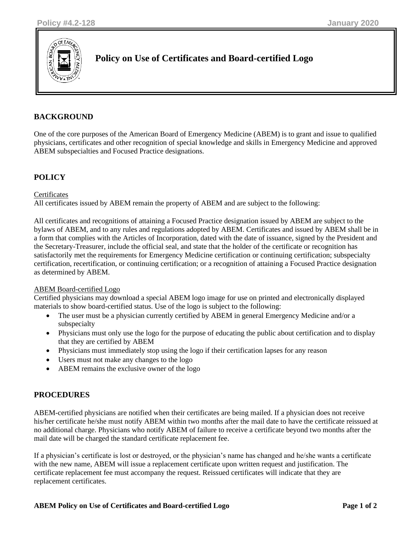

# **Policy on Use of Certificates and Board-certified Logo**

## **BACKGROUND**

One of the core purposes of the American Board of Emergency Medicine (ABEM) is to grant and issue to qualified physicians, certificates and other recognition of special knowledge and skills in Emergency Medicine and approved ABEM subspecialties and Focused Practice designations.

### **POLICY**

#### **Certificates**

All certificates issued by ABEM remain the property of ABEM and are subject to the following:

All certificates and recognitions of attaining a Focused Practice designation issued by ABEM are subject to the bylaws of ABEM, and to any rules and regulations adopted by ABEM. Certificates and issued by ABEM shall be in a form that complies with the Articles of Incorporation, dated with the date of issuance, signed by the President and the Secretary-Treasurer, include the official seal, and state that the holder of the certificate or recognition has satisfactorily met the requirements for Emergency Medicine certification or continuing certification; subspecialty certification, recertification, or continuing certification; or a recognition of attaining a Focused Practice designation as determined by ABEM.

#### ABEM Board-certified Logo

Certified physicians may download a special ABEM logo image for use on printed and electronically displayed materials to show board-certified status. Use of the logo is subject to the following:

- The user must be a physician currently certified by ABEM in general Emergency Medicine and/or a subspecialty
- Physicians must only use the logo for the purpose of educating the public about certification and to display that they are certified by ABEM
- Physicians must immediately stop using the logo if their certification lapses for any reason
- Users must not make any changes to the logo
- ABEM remains the exclusive owner of the logo

# **PROCEDURES**

ABEM-certified physicians are notified when their certificates are being mailed. If a physician does not receive his/her certificate he/she must notify ABEM within two months after the mail date to have the certificate reissued at no additional charge. Physicians who notify ABEM of failure to receive a certificate beyond two months after the mail date will be charged the standard certificate replacement fee.

If a physician's certificate is lost or destroyed, or the physician's name has changed and he/she wants a certificate with the new name, ABEM will issue a replacement certificate upon written request and justification. The certificate replacement fee must accompany the request. Reissued certificates will indicate that they are replacement certificates.